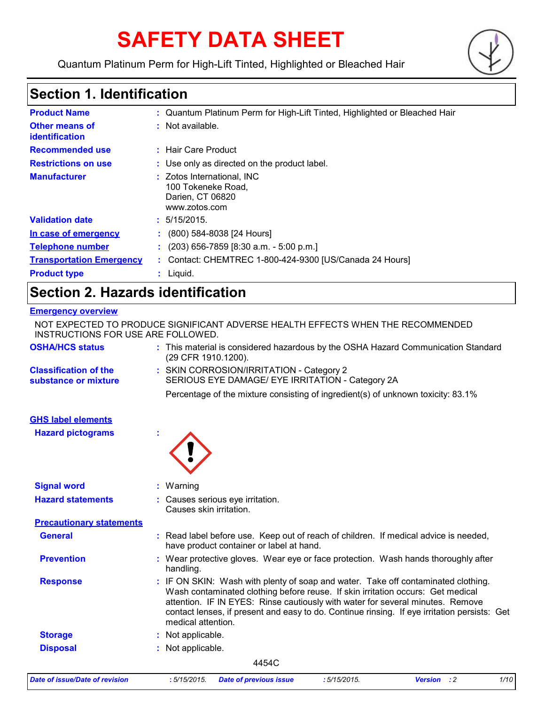# **SAFETY DATA SHEET**

Quantum Platinum Perm for High-Lift Tinted, Highlighted or Bleached Hair



# **Section 1. Identification**

| <b>Product Name</b>                     |    | : Quantum Platinum Perm for High-Lift Tinted, Highlighted or Bleached Hair            |
|-----------------------------------------|----|---------------------------------------------------------------------------------------|
| <b>Other means of</b><br>identification |    | : Not available.                                                                      |
| <b>Recommended use</b>                  |    | : Hair Care Product                                                                   |
| <b>Restrictions on use</b>              |    | : Use only as directed on the product label.                                          |
| <b>Manufacturer</b>                     |    | : Zotos International, INC<br>100 Tokeneke Road,<br>Darien, CT 06820<br>www.zotos.com |
| <b>Validation date</b>                  |    | : 5/15/2015.                                                                          |
| In case of emergency                    | ÷. | (800) 584-8038 [24 Hours]                                                             |
| <b>Telephone number</b>                 |    | $(203)$ 656-7859 [8:30 a.m. - 5:00 p.m.]                                              |
| <b>Transportation Emergency</b>         |    | : Contact: CHEMTREC 1-800-424-9300 [US/Canada 24 Hours]                               |
| <b>Product type</b>                     |    | $:$ Liquid.                                                                           |

# **Section 2. Hazards identification**

### **Emergency overview**

| <b>Date of issue/Date of revision</b>                 | :5/15/2015.<br>:5/15/2015.<br>Version : 2<br>1/10<br><b>Date of previous issue</b>                                                                                                                                                                                                                                                                                           |
|-------------------------------------------------------|------------------------------------------------------------------------------------------------------------------------------------------------------------------------------------------------------------------------------------------------------------------------------------------------------------------------------------------------------------------------------|
|                                                       | 4454C                                                                                                                                                                                                                                                                                                                                                                        |
| <b>Disposal</b>                                       | : Not applicable.                                                                                                                                                                                                                                                                                                                                                            |
| <b>Storage</b>                                        | : Not applicable.                                                                                                                                                                                                                                                                                                                                                            |
| <b>Response</b>                                       | : IF ON SKIN: Wash with plenty of soap and water. Take off contaminated clothing.<br>Wash contaminated clothing before reuse. If skin irritation occurs: Get medical<br>attention. IF IN EYES: Rinse cautiously with water for several minutes. Remove<br>contact lenses, if present and easy to do. Continue rinsing. If eye irritation persists: Get<br>medical attention. |
| <b>Prevention</b>                                     | : Wear protective gloves. Wear eye or face protection. Wash hands thoroughly after<br>handling.                                                                                                                                                                                                                                                                              |
| <b>General</b>                                        | : Read label before use. Keep out of reach of children. If medical advice is needed,<br>have product container or label at hand.                                                                                                                                                                                                                                             |
| <b>Precautionary statements</b>                       |                                                                                                                                                                                                                                                                                                                                                                              |
| <b>Hazard statements</b>                              | : Causes serious eye irritation.<br>Causes skin irritation.                                                                                                                                                                                                                                                                                                                  |
| <b>Signal word</b>                                    | : Warning                                                                                                                                                                                                                                                                                                                                                                    |
| <b>GHS label elements</b><br><b>Hazard pictograms</b> |                                                                                                                                                                                                                                                                                                                                                                              |
|                                                       | Percentage of the mixture consisting of ingredient(s) of unknown toxicity: 83.1%                                                                                                                                                                                                                                                                                             |
| <b>Classification of the</b><br>substance or mixture  | : SKIN CORROSION/IRRITATION - Category 2<br>SERIOUS EYE DAMAGE/ EYE IRRITATION - Category 2A                                                                                                                                                                                                                                                                                 |
| <b>OSHA/HCS status</b>                                | : This material is considered hazardous by the OSHA Hazard Communication Standard<br>(29 CFR 1910.1200).                                                                                                                                                                                                                                                                     |
| INSTRUCTIONS FOR USE ARE FOLLOWED.                    | NOT EXPECTED TO PRODUCE SIGNIFICANT ADVERSE HEALTH EFFECTS WHEN THE RECOMMENDED                                                                                                                                                                                                                                                                                              |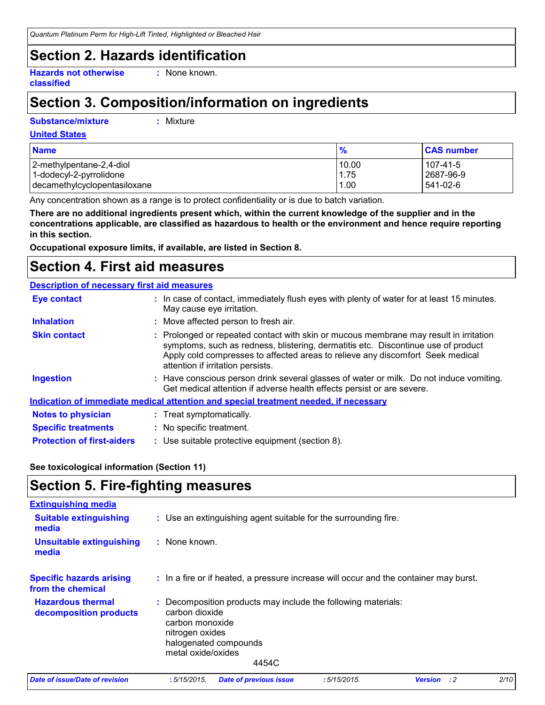*Quantum Platinum Perm for High-Lift Tinted, Highlighted or Bleached Hair*

### **Section 2. Hazards identification**

**Hazards not otherwise classified**

**:** None known.

# **Section 3. Composition/information on ingredients**

#### **Substance/mixture :**

Mixture

#### **United States**

| <b>Name</b>                  | $\frac{9}{6}$ | <b>CAS number</b> |
|------------------------------|---------------|-------------------|
| 2-methylpentane-2,4-diol     | 10.00         | 107-41-5          |
| 1-dodecyl-2-pyrrolidone      | 1.75          | 2687-96-9         |
| decamethylcyclopentasiloxane | 1.00          | 541-02-6          |

Any concentration shown as a range is to protect confidentiality or is due to batch variation.

**There are no additional ingredients present which, within the current knowledge of the supplier and in the concentrations applicable, are classified as hazardous to health or the environment and hence require reporting in this section.**

**Occupational exposure limits, if available, are listed in Section 8.**

### **Section 4. First aid measures**

#### **Description of necessary first aid measures**

| <b>Eye contact</b>                | : In case of contact, immediately flush eyes with plenty of water for at least 15 minutes.<br>May cause eye irritation.                                                                                                                                                                           |  |
|-----------------------------------|---------------------------------------------------------------------------------------------------------------------------------------------------------------------------------------------------------------------------------------------------------------------------------------------------|--|
| <b>Inhalation</b>                 | : Move affected person to fresh air.                                                                                                                                                                                                                                                              |  |
| <b>Skin contact</b>               | : Prolonged or repeated contact with skin or mucous membrane may result in irritation<br>symptoms, such as redness, blistering, dermatitis etc. Discontinue use of product<br>Apply cold compresses to affected areas to relieve any discomfort Seek medical<br>attention if irritation persists. |  |
| <b>Ingestion</b>                  | : Have conscious person drink several glasses of water or milk. Do not induce vomiting.<br>Get medical attention if adverse health effects persist or are severe.                                                                                                                                 |  |
|                                   | Indication of immediate medical attention and special treatment needed, if necessary                                                                                                                                                                                                              |  |
| <b>Notes to physician</b>         | : Treat symptomatically.                                                                                                                                                                                                                                                                          |  |
| <b>Specific treatments</b>        | : No specific treatment.                                                                                                                                                                                                                                                                          |  |
| <b>Protection of first-aiders</b> | : Use suitable protective equipment (section 8).                                                                                                                                                                                                                                                  |  |

#### **See toxicological information (Section 11)**

### **Section 5. Fire-fighting measures**

| <b>Extinguishing media</b>                           |                                                                                                                                                                               |
|------------------------------------------------------|-------------------------------------------------------------------------------------------------------------------------------------------------------------------------------|
| <b>Suitable extinguishing</b><br>media               | : Use an extinguishing agent suitable for the surrounding fire.                                                                                                               |
| <b>Unsuitable extinguishing</b><br>media             | : None known.                                                                                                                                                                 |
| <b>Specific hazards arising</b><br>from the chemical | : In a fire or if heated, a pressure increase will occur and the container may burst.                                                                                         |
| <b>Hazardous thermal</b><br>decomposition products   | : Decomposition products may include the following materials:<br>carbon dioxide<br>carbon monoxide<br>nitrogen oxides<br>halogenated compounds<br>metal oxide/oxides<br>4454C |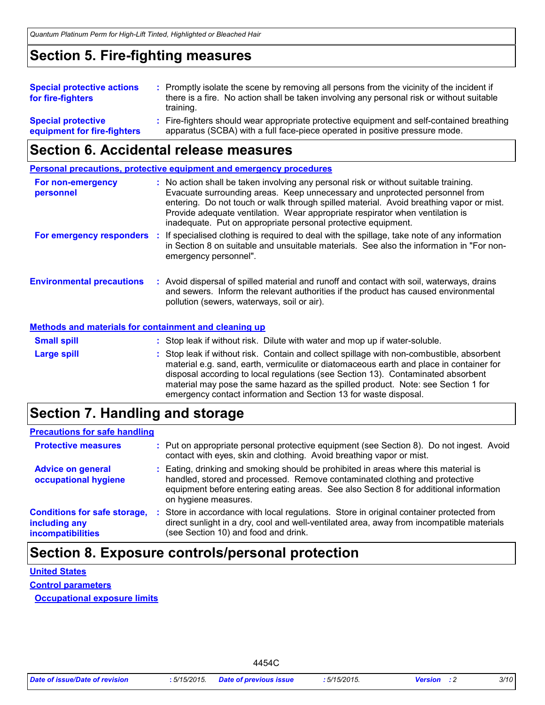### **Section 5. Fire-fighting measures**

| <b>Special protective actions</b> | : Promptly isolate the scene by removing all persons from the vicinity of the incident if |
|-----------------------------------|-------------------------------------------------------------------------------------------|
| for fire-fighters                 | there is a fire. No action shall be taken involving any personal risk or without suitable |
|                                   | training.                                                                                 |
| <b>Special protective</b>         | : Fire-fighters should wear appropriate protective equipment and self-contained breathing |
| equipment for fire-fighters       | apparatus (SCBA) with a full face-piece operated in positive pressure mode.               |

### **Section 6. Accidental release measures**

**Personal precautions, protective equipment and emergency procedures**

| For non-emergency<br>personnel                               | : No action shall be taken involving any personal risk or without suitable training.<br>Evacuate surrounding areas. Keep unnecessary and unprotected personnel from<br>entering. Do not touch or walk through spilled material. Avoid breathing vapor or mist.<br>Provide adequate ventilation. Wear appropriate respirator when ventilation is<br>inadequate. Put on appropriate personal protective equipment. |
|--------------------------------------------------------------|------------------------------------------------------------------------------------------------------------------------------------------------------------------------------------------------------------------------------------------------------------------------------------------------------------------------------------------------------------------------------------------------------------------|
| For emergency responders :                                   | If specialised clothing is required to deal with the spillage, take note of any information<br>in Section 8 on suitable and unsuitable materials. See also the information in "For non-<br>emergency personnel".                                                                                                                                                                                                 |
| <b>Environmental precautions</b>                             | : Avoid dispersal of spilled material and runoff and contact with soil, waterways, drains<br>and sewers. Inform the relevant authorities if the product has caused environmental<br>pollution (sewers, waterways, soil or air).                                                                                                                                                                                  |
| <b>Methods and materials for containment and cleaning up</b> |                                                                                                                                                                                                                                                                                                                                                                                                                  |
| <b>Small spill</b>                                           | : Stop leak if without risk. Dilute with water and mop up if water-soluble.                                                                                                                                                                                                                                                                                                                                      |
| <b>Large spill</b>                                           | : Stop leak if without risk. Contain and collect spillage with non-combustible, absorbent<br>material e.g. sand, earth, vermiculite or diatomaceous earth and place in container for<br>disposal according to local regulations (see Section 13). Contaminated absorbent<br>material may pose the same hazard as the spilled product. Note: see Section 1 for                                                    |

### **Section 7. Handling and storage**

### **Precautions for safe handling**

| <b>Protective measures</b>                                                       | : Put on appropriate personal protective equipment (see Section 8). Do not ingest. Avoid<br>contact with eyes, skin and clothing. Avoid breathing vapor or mist.                                                                                                                   |
|----------------------------------------------------------------------------------|------------------------------------------------------------------------------------------------------------------------------------------------------------------------------------------------------------------------------------------------------------------------------------|
| <b>Advice on general</b><br>occupational hygiene                                 | : Eating, drinking and smoking should be prohibited in areas where this material is<br>handled, stored and processed. Remove contaminated clothing and protective<br>equipment before entering eating areas. See also Section 8 for additional information<br>on hygiene measures. |
| <b>Conditions for safe storage,</b><br>including any<br><i>incompatibilities</i> | : Store in accordance with local regulations. Store in original container protected from<br>direct sunlight in a dry, cool and well-ventilated area, away from incompatible materials<br>(see Section 10) and food and drink.                                                      |

emergency contact information and Section 13 for waste disposal.

### **Section 8. Exposure controls/personal protection**

# **United States**

**Control parameters Occupational exposure limits**

| 4454C |
|-------|
|-------|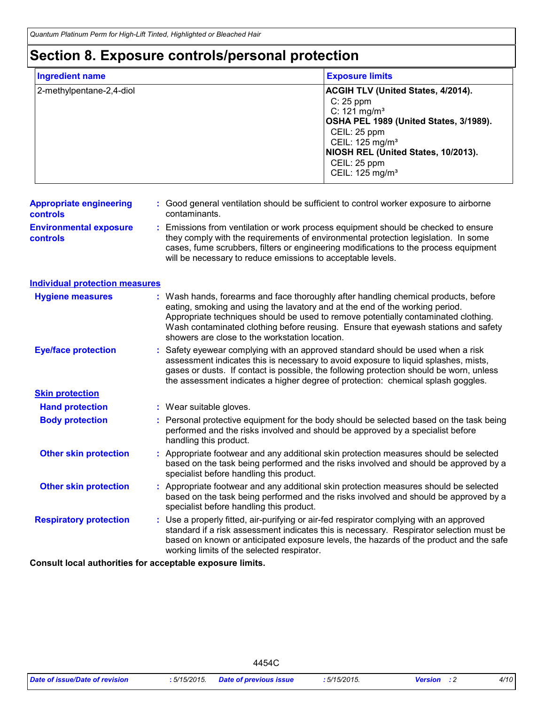# **Section 8. Exposure controls/personal protection**

| <b>Ingredient name</b>                           | <b>Exposure limits</b>                                                                                                                                                                                                                                                                                                                                                                          |                                                                                                                     |
|--------------------------------------------------|-------------------------------------------------------------------------------------------------------------------------------------------------------------------------------------------------------------------------------------------------------------------------------------------------------------------------------------------------------------------------------------------------|---------------------------------------------------------------------------------------------------------------------|
| 2-methylpentane-2,4-diol                         | C: 25 ppm<br>C: 121 mg/m <sup>3</sup><br>CEIL: 25 ppm<br>CEIL: 125 mg/m <sup>3</sup><br>CEIL: 25 ppm<br>CEIL: 125 mg/m <sup>3</sup>                                                                                                                                                                                                                                                             | ACGIH TLV (United States, 4/2014).<br>OSHA PEL 1989 (United States, 3/1989).<br>NIOSH REL (United States, 10/2013). |
| <b>Appropriate engineering</b><br>controls       | : Good general ventilation should be sufficient to control worker exposure to airborne<br>contaminants.                                                                                                                                                                                                                                                                                         |                                                                                                                     |
| <b>Environmental exposure</b><br><b>controls</b> | Emissions from ventilation or work process equipment should be checked to ensure<br>they comply with the requirements of environmental protection legislation. In some<br>cases, fume scrubbers, filters or engineering modifications to the process equipment<br>will be necessary to reduce emissions to acceptable levels.                                                                   |                                                                                                                     |
| <b>Individual protection measures</b>            |                                                                                                                                                                                                                                                                                                                                                                                                 |                                                                                                                     |
| <b>Hygiene measures</b>                          | Wash hands, forearms and face thoroughly after handling chemical products, before<br>eating, smoking and using the lavatory and at the end of the working period.<br>Appropriate techniques should be used to remove potentially contaminated clothing.<br>Wash contaminated clothing before reusing. Ensure that eyewash stations and safety<br>showers are close to the workstation location. |                                                                                                                     |
| <b>Eye/face protection</b>                       | Safety eyewear complying with an approved standard should be used when a risk<br>assessment indicates this is necessary to avoid exposure to liquid splashes, mists,<br>gases or dusts. If contact is possible, the following protection should be worn, unless<br>the assessment indicates a higher degree of protection: chemical splash goggles.                                             |                                                                                                                     |
| <b>Skin protection</b>                           |                                                                                                                                                                                                                                                                                                                                                                                                 |                                                                                                                     |
| <b>Hand protection</b>                           | : Wear suitable gloves.                                                                                                                                                                                                                                                                                                                                                                         |                                                                                                                     |
| <b>Body protection</b>                           | : Personal protective equipment for the body should be selected based on the task being<br>performed and the risks involved and should be approved by a specialist before<br>handling this product.                                                                                                                                                                                             |                                                                                                                     |
| <b>Other skin protection</b>                     | : Appropriate footwear and any additional skin protection measures should be selected<br>based on the task being performed and the risks involved and should be approved by a<br>specialist before handling this product.                                                                                                                                                                       |                                                                                                                     |
| <b>Other skin protection</b>                     | Appropriate footwear and any additional skin protection measures should be selected<br>based on the task being performed and the risks involved and should be approved by a<br>specialist before handling this product.                                                                                                                                                                         |                                                                                                                     |
| <b>Respiratory protection</b>                    | Use a properly fitted, air-purifying or air-fed respirator complying with an approved<br>standard if a risk assessment indicates this is necessary. Respirator selection must be<br>based on known or anticipated exposure levels, the hazards of the product and the safe<br>working limits of the selected respirator.                                                                        |                                                                                                                     |

**Consult local authorities for acceptable exposure limits.**

4454C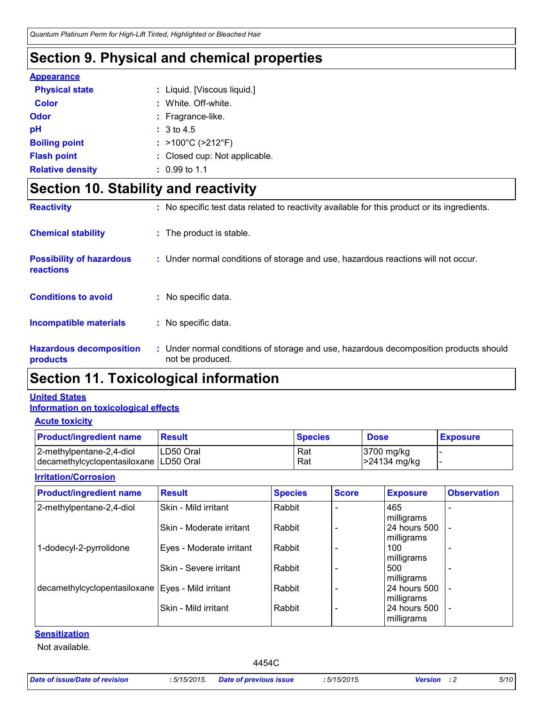# **Section 9. Physical and chemical properties**

#### **Appearance**

| <b>Physical state</b>   | : Liquid. [Viscous liquid.]            |
|-------------------------|----------------------------------------|
| <b>Color</b>            | : White, Off-white.                    |
| Odor                    | : Fragrance-like.                      |
| рH                      | : 3 to 4.5                             |
| <b>Boiling point</b>    | : $>100^{\circ}$ C ( $>212^{\circ}$ F) |
| <b>Flash point</b>      | : Closed cup: Not applicable.          |
| <b>Relative density</b> | $: 0.99$ to 1.1                        |

# **Section 10. Stability and reactivity**

| <b>Reactivity</b>                            | : No specific test data related to reactivity available for this product or its ingredients.              |
|----------------------------------------------|-----------------------------------------------------------------------------------------------------------|
| <b>Chemical stability</b>                    | : The product is stable.                                                                                  |
| <b>Possibility of hazardous</b><br>reactions | : Under normal conditions of storage and use, hazardous reactions will not occur.                         |
| <b>Conditions to avoid</b>                   | : No specific data.                                                                                       |
| <b>Incompatible materials</b>                | : No specific data.                                                                                       |
| <b>Hazardous decomposition</b><br>products   | : Under normal conditions of storage and use, hazardous decomposition products should<br>not be produced. |

### **Section 11. Toxicological information**

### **Information on toxicological effects United States**

#### **Acute toxicity**

| <b>Product/ingredient name</b>                                       | <b>Result</b> | <b>Species</b> | <b>Dose</b>                | <b>Exposure</b> |
|----------------------------------------------------------------------|---------------|----------------|----------------------------|-----------------|
| 2-methylpentane-2,4-diol<br>decamethylcyclopentasiloxane   LD50 Oral | ILD50 Oral    | Rat<br>Rat     | 3700 mg/kg<br>-24134 mg/kg |                 |

#### **Irritation/Corrosion**

| <b>Product/ingredient name</b>                      | <b>Result</b>            | <b>Species</b> | <b>Score</b> | <b>Exposure</b>            | <b>Observation</b> |
|-----------------------------------------------------|--------------------------|----------------|--------------|----------------------------|--------------------|
| 2-methylpentane-2,4-diol                            | Skin - Mild irritant     | Rabbit         |              | 465<br>milligrams          |                    |
|                                                     | Skin - Moderate irritant | Rabbit         |              | 24 hours 500<br>milligrams |                    |
| 1-dodecyl-2-pyrrolidone                             | Eyes - Moderate irritant | Rabbit         |              | 100<br>milligrams          |                    |
|                                                     | Skin - Severe irritant   | Rabbit         |              | 500<br>milligrams          |                    |
| decamethylcyclopentasiloxane   Eyes - Mild irritant |                          | Rabbit         |              | 24 hours 500<br>milligrams |                    |
|                                                     | Skin - Mild irritant     | Rabbit         |              | 24 hours 500<br>milligrams |                    |

### **Sensitization**

Not available.

4454C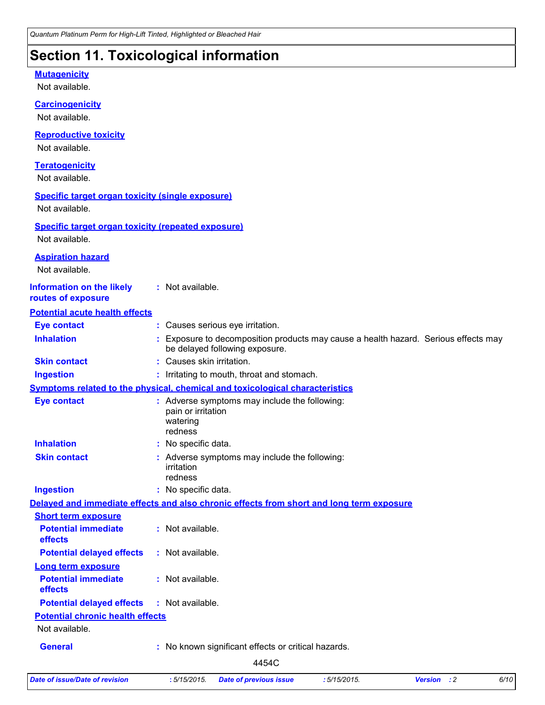### **Section 11. Toxicological information**

### Not available. **Carcinogenicity** Not available. **Mutagenicity** Not available. **Teratogenicity** Not available. **Reproductive toxicity** Not available. **Information on the likely routes of exposure Inhalation 19.1 Exposure to decomposition products may cause a health hazard. Serious effects may** be delayed following exposure. **Ingestion :** Irritating to mouth, throat and stomach. **Skin contact :** Causes skin irritation. **Eye contact :** Causes serious eye irritation. **General :** No known significant effects or critical hazards. **Symptoms related to the physical, chemical and toxicological characteristics Skin contact Ingestion Inhalation :** No specific data. No specific data. **:** Adverse symptoms may include the following: **:** irritation redness **Eye contact :** Adverse symptoms may include the following: pain or irritation watering redness **Potential chronic health effects Delayed and immediate effects and also chronic effects from short and long term exposure Specific target organ toxicity (single exposure) Specific target organ toxicity (repeated exposure)** Not available. Not available. **Aspiration hazard** Not available. **:** Not available. **Potential acute health effects Potential immediate effects :** Not available. **Short term exposure Potential delayed effects :** Not available. **Potential immediate effects :** Not available. **Long term exposure Potential delayed effects :** Not available. 4454C

*Date of issue/Date of revision* **:** *5/15/2015. Date of previous issue : 5/15/2015. Version : 2 6/10*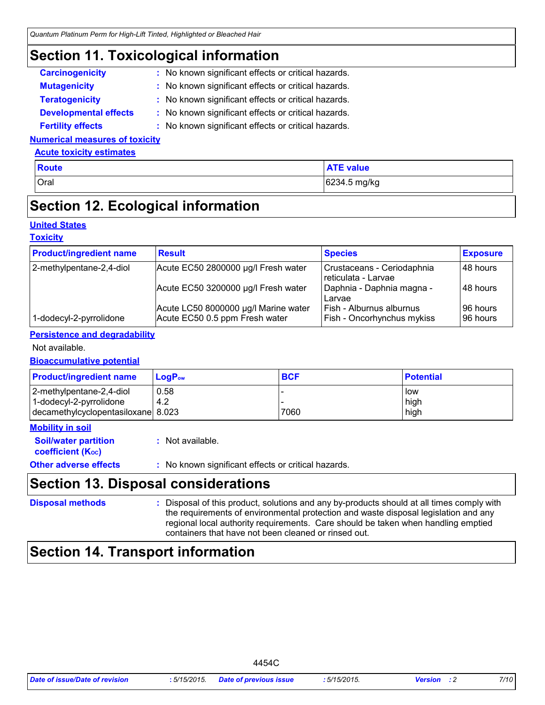### **Section 11. Toxicological information**

| <b>Carcinogenicity</b>       | : No known significant effects or critical hazards. |
|------------------------------|-----------------------------------------------------|
| <b>Mutagenicity</b>          | : No known significant effects or critical hazards. |
| <b>Teratogenicity</b>        | : No known significant effects or critical hazards. |
| <b>Developmental effects</b> | : No known significant effects or critical hazards. |
| <b>Fertility effects</b>     | : No known significant effects or critical hazards. |

#### **Numerical measures of toxicity**

#### **Acute toxicity estimates**

| <b>Route</b> | <b>ATE value</b> |
|--------------|------------------|
| Oral         | 6234.5 mg/kg     |
|              |                  |

# **Section 12. Ecological information**

### **United States**

#### **Toxicity**

| <b>Product/ingredient name</b> | <b>Result</b>                                                          | <b>Species</b>                                                       | <b>Exposure</b>       |
|--------------------------------|------------------------------------------------------------------------|----------------------------------------------------------------------|-----------------------|
| 2-methylpentane-2,4-diol       | Acute EC50 2800000 µg/l Fresh water                                    | Crustaceans - Ceriodaphnia<br>reticulata - Larvae                    | 148 hours             |
|                                | Acute EC50 3200000 µg/l Fresh water                                    | Daphnia - Daphnia magna -<br>l Larvae                                | 148 hours             |
| 1-dodecyl-2-pyrrolidone        | Acute LC50 8000000 µg/l Marine water<br>Acute EC50 0.5 ppm Fresh water | <b>Fish - Alburnus alburnus</b><br><b>Fish - Oncorhynchus mykiss</b> | 96 hours<br>196 hours |

#### **Persistence and degradability**

#### Not available.

#### **Bioaccumulative potential**

| <b>Product/ingredient name</b>                                                            | $LoaPow$    | <b>BCF</b> | <b>Potential</b>    |
|-------------------------------------------------------------------------------------------|-------------|------------|---------------------|
| 2-methylpentane-2,4-diol<br>1-dodecyl-2-pyrrolidone<br>decamethylcyclopentasiloxane 8.023 | 0.58<br>4.2 | 7060       | low<br>high<br>high |

### **Mobility in soil**

| <b>Soil/water partition</b>    | : Not available. |  |
|--------------------------------|------------------|--|
| coefficient (K <sub>oc</sub> ) |                  |  |
|                                |                  |  |

### **Other adverse effects** : No known significant effects or critical hazards.

### **Section 13. Disposal considerations**

### **Disposal methods :**

Disposal of this product, solutions and any by-products should at all times comply with the requirements of environmental protection and waste disposal legislation and any regional local authority requirements. Care should be taken when handling emptied containers that have not been cleaned or rinsed out.

### **Section 14. Transport information**

| <b>Date of issue/Date of revision</b> | 5/15/2015. | <b>Date of previous issue</b> | .5/15/2015. | <b>Version</b> : 2 | 7/10 |
|---------------------------------------|------------|-------------------------------|-------------|--------------------|------|
|---------------------------------------|------------|-------------------------------|-------------|--------------------|------|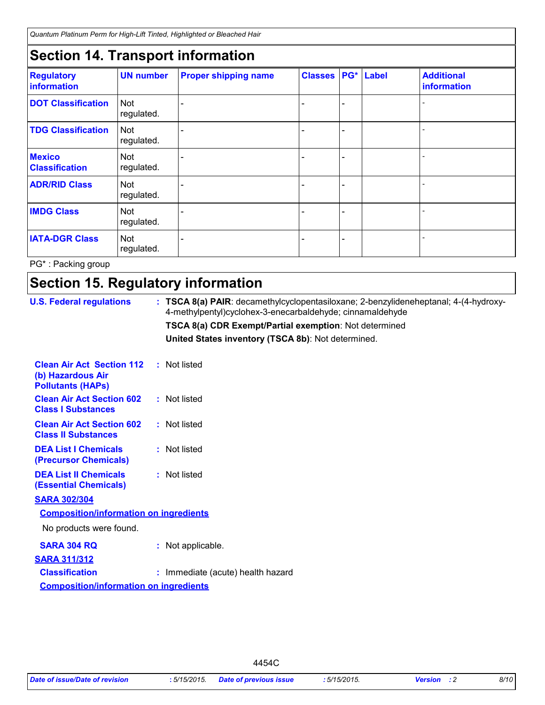*Quantum Platinum Perm for High-Lift Tinted, Highlighted or Bleached Hair*

# **Section 14. Transport information**

| <b>Regulatory</b><br>information       | <b>UN number</b>         | <b>Proper shipping name</b> | <b>Classes</b> | PG* Label | <b>Additional</b><br>information |
|----------------------------------------|--------------------------|-----------------------------|----------------|-----------|----------------------------------|
| <b>DOT Classification</b>              | <b>Not</b><br>regulated. |                             |                |           |                                  |
| <b>TDG Classification</b>              | <b>Not</b><br>regulated. |                             |                |           |                                  |
| <b>Mexico</b><br><b>Classification</b> | <b>Not</b><br>regulated. |                             |                |           |                                  |
| <b>ADR/RID Class</b>                   | <b>Not</b><br>regulated. |                             |                |           |                                  |
| <b>IMDG Class</b>                      | <b>Not</b><br>regulated. |                             |                |           |                                  |
| <b>IATA-DGR Class</b>                  | Not<br>regulated.        |                             |                |           |                                  |

PG\* : Packing group

# **Section 15. Regulatory information**

| <b>U.S. Federal regulations</b>                                                   | : TSCA 8(a) PAIR: decamethylcyclopentasiloxane; 2-benzylideneheptanal; 4-(4-hydroxy-<br>4-methylpentyl)cyclohex-3-enecarbaldehyde; cinnamaldehyde |
|-----------------------------------------------------------------------------------|---------------------------------------------------------------------------------------------------------------------------------------------------|
|                                                                                   | TSCA 8(a) CDR Exempt/Partial exemption: Not determined                                                                                            |
|                                                                                   | United States inventory (TSCA 8b): Not determined.                                                                                                |
| <b>Clean Air Act Section 112</b><br>(b) Hazardous Air<br><b>Pollutants (HAPS)</b> | : Not listed                                                                                                                                      |
| <b>Clean Air Act Section 602</b><br><b>Class I Substances</b>                     | : Not listed                                                                                                                                      |
| <b>Clean Air Act Section 602</b><br><b>Class II Substances</b>                    | : Not listed                                                                                                                                      |
| <b>DEA List I Chemicals</b><br>(Precursor Chemicals)                              | : Not listed                                                                                                                                      |
| <b>DEA List II Chemicals</b><br><b>(Essential Chemicals)</b>                      | : Not listed                                                                                                                                      |
| <b>SARA 302/304</b><br><b>Composition/information on ingredients</b>              |                                                                                                                                                   |
| No products were found.                                                           |                                                                                                                                                   |
| <b>SARA 304 RQ</b><br><b>SARA 311/312</b>                                         | : Not applicable.                                                                                                                                 |
| <b>Classification</b><br><b>Composition/information on ingredients</b>            | : Immediate (acute) health hazard                                                                                                                 |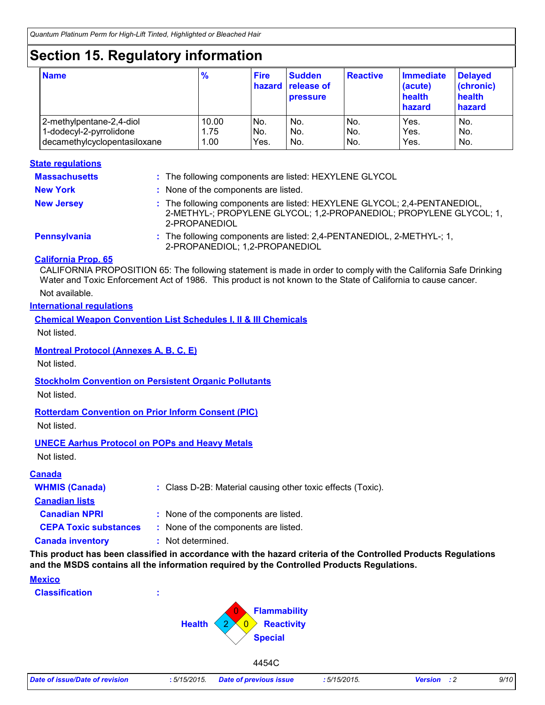# **Section 15. Regulatory information**

| <b>Name</b>                  | $\frac{9}{6}$ | <b>Fire</b> | <b>Sudden</b><br>hazard release of<br><b>pressure</b> | Reactive | <b>Immediate</b><br>(acute)<br>health<br>hazard | <b>Delayed</b><br>(chronic)<br>health<br>hazard |
|------------------------------|---------------|-------------|-------------------------------------------------------|----------|-------------------------------------------------|-------------------------------------------------|
| 2-methylpentane-2,4-diol     | 10.00         | No.         | No.                                                   | No.      | Yes.                                            | No.                                             |
| 1-dodecyl-2-pyrrolidone      | 1.75          | No.         | No.                                                   | No.      | Yes.                                            | No.                                             |
| decamethylcyclopentasiloxane | 1.00          | Yes.        | No.                                                   | No.      | Yes.                                            | No.                                             |

#### **State regulations**

| <b>Massachusetts</b> | : The following components are listed: HEXYLENE GLYCOL                                                                                                          |
|----------------------|-----------------------------------------------------------------------------------------------------------------------------------------------------------------|
| <b>New York</b>      | : None of the components are listed.                                                                                                                            |
| <b>New Jersey</b>    | : The following components are listed: HEXYLENE GLYCOL; 2,4-PENTANEDIOL,<br>2-METHYL-; PROPYLENE GLYCOL; 1,2-PROPANEDIOL; PROPYLENE GLYCOL; 1,<br>2-PROPANEDIOL |
| Pennsylvania         | : The following components are listed: 2,4-PENTANEDIOL, 2-METHYL-; 1,<br>2-PROPANEDIOL; 1,2-PROPANEDIOL                                                         |

#### **California Prop. 65**

CALIFORNIA PROPOSITION 65: The following statement is made in order to comply with the California Safe Drinking Water and Toxic Enforcement Act of 1986. This product is not known to the State of California to cause cancer.

Not available.

#### **International regulations**

**Chemical Weapon Convention List Schedules I, II & III Chemicals**

Not listed.

#### **Montreal Protocol (Annexes A, B, C, E)**

Not listed.

#### **Stockholm Convention on Persistent Organic Pollutants**

Not listed.

#### **Rotterdam Convention on Prior Inform Consent (PIC)**

Not listed.

#### **UNECE Aarhus Protocol on POPs and Heavy Metals**

Not listed.

#### **Canada**

| <b>WHMIS (Canada)</b>        | : Class D-2B: Material causing other toxic effects (Toxic). |
|------------------------------|-------------------------------------------------------------|
| <b>Canadian lists</b>        |                                                             |
| <b>Canadian NPRI</b>         | : None of the components are listed.                        |
| <b>CEPA Toxic substances</b> | : None of the components are listed.                        |
| <b>Canada inventory</b>      | : Not determined.                                           |

**This product has been classified in accordance with the hazard criteria of the Controlled Products Regulations and the MSDS contains all the information required by the Controlled Products Regulations.**

| <b>Mexico</b><br><b>Classification</b> | ж.<br><b>п.</b>                     |                                                                              |  |
|----------------------------------------|-------------------------------------|------------------------------------------------------------------------------|--|
|                                        | <b>Health</b><br>$\mathcal{D}$<br>← | Flammability<br>U<br>Reactivity<br>$\overline{\mathbf{0}}$<br><b>Special</b> |  |
|                                        |                                     | 4454C                                                                        |  |